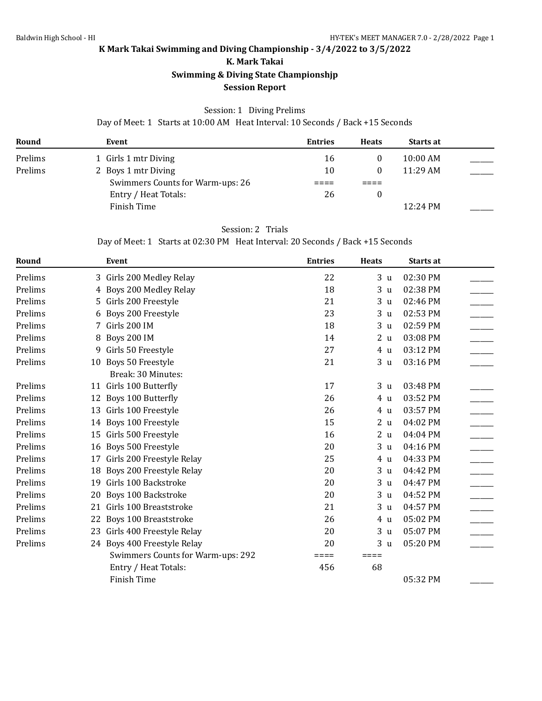**K. Mark Takai**

**Swimming & Diving State Championshjp**

### **Session Report**

### Session: 1 Diving Prelims

Day of Meet: 1 Starts at 10:00 AM Heat Interval: 10 Seconds / Back +15 Seconds

| Round   | Event                            | <b>Entries</b> | <b>Heats</b> | <b>Starts at</b> |  |
|---------|----------------------------------|----------------|--------------|------------------|--|
| Prelims | 1 Girls 1 mtr Diving             | 16             |              | $10:00$ AM       |  |
| Prelims | 2 Boys 1 mtr Diving              | 10             |              | $11:29$ AM       |  |
|         | Swimmers Counts for Warm-ups: 26 |                |              |                  |  |
|         | Entry / Heat Totals:             | 26             |              |                  |  |
|         | Finish Time                      |                |              | 12:24 PM         |  |

## Session: 2 Trials

Day of Meet: 1 Starts at 02:30 PM Heat Interval: 20 Seconds / Back +15 Seconds

| Round   |    | Event                             | <b>Entries</b> | <b>Heats</b>      | Starts at |
|---------|----|-----------------------------------|----------------|-------------------|-----------|
| Prelims |    | 3 Girls 200 Medley Relay          | 22             | 3 <sub>u</sub>    | 02:30 PM  |
| Prelims |    | 4 Boys 200 Medley Relay           | 18             | 3<br>$\mathbf{u}$ | 02:38 PM  |
| Prelims | 5. | Girls 200 Freestyle               | 21             | 3 <sub>u</sub>    | 02:46 PM  |
| Prelims | 6  | Boys 200 Freestyle                | 23             | 3 <sub>u</sub>    | 02:53 PM  |
| Prelims |    | Girls 200 IM                      | 18             | 3 <sub>u</sub>    | 02:59 PM  |
| Prelims | 8  | Boys 200 IM                       | 14             | 2 <sub>u</sub>    | 03:08 PM  |
| Prelims | 9  | Girls 50 Freestyle                | 27             | 4 u               | 03:12 PM  |
| Prelims |    | 10 Boys 50 Freestyle              | 21             | 3 <sub>u</sub>    | 03:16 PM  |
|         |    | Break: 30 Minutes:                |                |                   |           |
| Prelims |    | 11 Girls 100 Butterfly            | 17             | 3 <sub>u</sub>    | 03:48 PM  |
| Prelims | 12 | Boys 100 Butterfly                | 26             | 4 u               | 03:52 PM  |
| Prelims | 13 | Girls 100 Freestyle               | 26             | 4 u               | 03:57 PM  |
| Prelims |    | 14 Boys 100 Freestyle             | 15             | 2 <sub>u</sub>    | 04:02 PM  |
| Prelims | 15 | Girls 500 Freestyle               | 16             | 2 <sub>u</sub>    | 04:04 PM  |
| Prelims | 16 | Boys 500 Freestyle                | 20             | 3 <sub>u</sub>    | 04:16 PM  |
| Prelims | 17 | Girls 200 Freestyle Relay         | 25             | 4 <sub>u</sub>    | 04:33 PM  |
| Prelims | 18 | Boys 200 Freestyle Relay          | 20             | 3 <sub>u</sub>    | 04:42 PM  |
| Prelims | 19 | Girls 100 Backstroke              | 20             | 3 <sub>u</sub>    | 04:47 PM  |
| Prelims | 20 | <b>Boys 100 Backstroke</b>        | 20             | 3 <sub>u</sub>    | 04:52 PM  |
| Prelims | 21 | Girls 100 Breaststroke            | 21             | 3 <sub>u</sub>    | 04:57 PM  |
| Prelims | 22 | Boys 100 Breaststroke             | 26             | 4 u               | 05:02 PM  |
| Prelims | 23 | Girls 400 Freestyle Relay         | 20             | 3 <sub>u</sub>    | 05:07 PM  |
| Prelims |    | 24 Boys 400 Freestyle Relay       | 20             | 3 <sub>u</sub>    | 05:20 PM  |
|         |    | Swimmers Counts for Warm-ups: 292 | ====           | ====              |           |
|         |    | Entry / Heat Totals:              | 456            | 68                |           |
|         |    | Finish Time                       |                |                   | 05:32 PM  |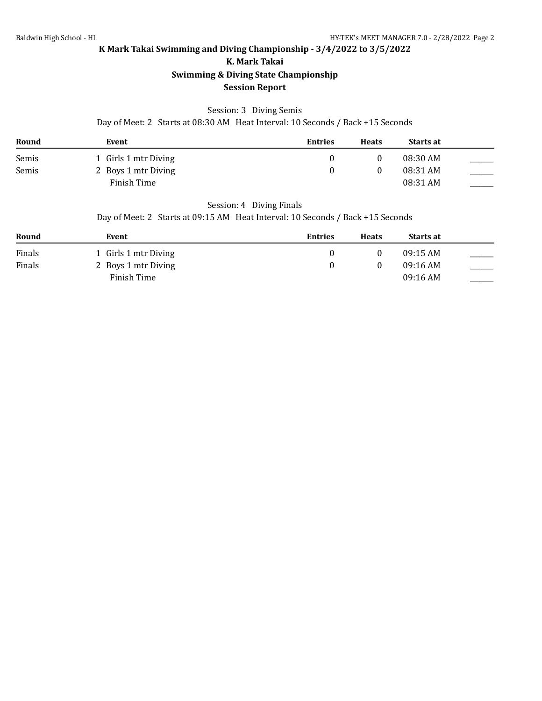**K. Mark Takai**

## **Swimming & Diving State Championshjp**

### **Session Report**

### Session: 3 Diving Semis

Day of Meet: 2 Starts at 08:30 AM Heat Interval: 10 Seconds / Back +15 Seconds

| Round | Event                | <b>Entries</b> | <b>Heats</b> | <b>Starts at</b> |  |
|-------|----------------------|----------------|--------------|------------------|--|
| Semis | 1 Girls 1 mtr Diving |                |              | 08:30 AM         |  |
| Semis | 2 Boys 1 mtr Diving  |                |              | 08:31 AM         |  |
|       | Finish Time          |                |              | 08:31 AM         |  |

#### Session: 4 Diving Finals

Day of Meet: 2 Starts at 09:15 AM Heat Interval: 10 Seconds / Back +15 Seconds

| Round  | Event                | <b>Entries</b> | <b>Heats</b> | Starts at  |  |
|--------|----------------------|----------------|--------------|------------|--|
| Finals | 1 Girls 1 mtr Diving |                |              | $09:15$ AM |  |
| Finals | 2 Boys 1 mtr Diving  |                |              | $09:16$ AM |  |
|        | Finish Time          |                |              | $09:16$ AM |  |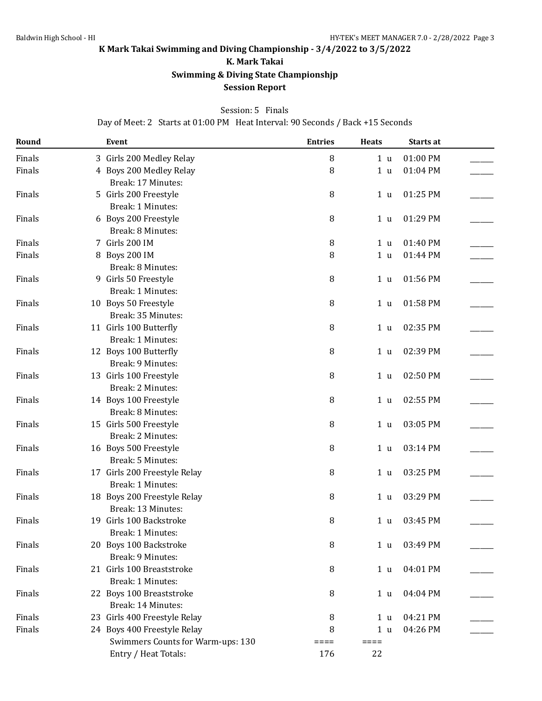**K. Mark Takai**

**Swimming & Diving State Championshjp**

### **Session Report**

#### Session: 5 Finals

Day of Meet: 2 Starts at 01:00 PM Heat Interval: 90 Seconds / Back +15 Seconds

| Round  | Event                             | <b>Entries</b> | <b>Heats</b>   | Starts at |  |
|--------|-----------------------------------|----------------|----------------|-----------|--|
| Finals | 3 Girls 200 Medley Relay          | 8              | 1 <sub>u</sub> | 01:00 PM  |  |
| Finals | 4 Boys 200 Medley Relay           | 8              | 1 <sub>u</sub> | 01:04 PM  |  |
|        | Break: 17 Minutes:                |                |                |           |  |
| Finals | 5 Girls 200 Freestyle             | 8              | 1 <sub>u</sub> | 01:25 PM  |  |
|        | Break: 1 Minutes:                 |                |                |           |  |
| Finals | 6 Boys 200 Freestyle              | 8              | 1 <sub>u</sub> | 01:29 PM  |  |
|        | Break: 8 Minutes:                 |                |                |           |  |
| Finals | 7 Girls 200 IM                    | 8              | 1 <sub>u</sub> | 01:40 PM  |  |
| Finals | 8 Boys 200 IM                     | 8              | 1 <sub>u</sub> | 01:44 PM  |  |
|        | Break: 8 Minutes:                 |                |                |           |  |
| Finals | 9 Girls 50 Freestyle              | 8              | 1 <sub>u</sub> | 01:56 PM  |  |
|        | Break: 1 Minutes:                 |                |                |           |  |
| Finals | 10 Boys 50 Freestyle              | 8              | 1 <sub>u</sub> | 01:58 PM  |  |
|        | Break: 35 Minutes:                |                |                |           |  |
| Finals | 11 Girls 100 Butterfly            | $\, 8$         | 1 <sub>u</sub> | 02:35 PM  |  |
|        | Break: 1 Minutes:                 |                |                |           |  |
| Finals | 12 Boys 100 Butterfly             | 8              | 1 <sub>u</sub> | 02:39 PM  |  |
|        | Break: 9 Minutes:                 |                |                |           |  |
| Finals | 13 Girls 100 Freestyle            | 8              | 1 <sub>u</sub> | 02:50 PM  |  |
|        | Break: 2 Minutes:                 |                |                |           |  |
| Finals | 14 Boys 100 Freestyle             | 8              | 1 <sub>u</sub> | 02:55 PM  |  |
|        | Break: 8 Minutes:                 |                |                |           |  |
| Finals | 15 Girls 500 Freestyle            | 8              | 1 <sub>u</sub> | 03:05 PM  |  |
|        | Break: 2 Minutes:                 |                |                |           |  |
| Finals | 16 Boys 500 Freestyle             | 8              | 1 <sub>u</sub> | 03:14 PM  |  |
|        | Break: 5 Minutes:                 |                |                |           |  |
| Finals | 17 Girls 200 Freestyle Relay      | 8              | 1 <sub>u</sub> | 03:25 PM  |  |
|        | Break: 1 Minutes:                 |                |                |           |  |
| Finals | 18 Boys 200 Freestyle Relay       | 8              | 1 <sub>u</sub> | 03:29 PM  |  |
|        | Break: 13 Minutes:                |                |                |           |  |
| Finals | 19 Girls 100 Backstroke           | 8              | 1 <sub>u</sub> | 03:45 PM  |  |
|        | Break: 1 Minutes:                 |                |                |           |  |
| Finals | 20 Boys 100 Backstroke            | 8              | 1 <sub>u</sub> | 03:49 PM  |  |
|        | Break: 9 Minutes:                 |                |                |           |  |
| Finals | 21 Girls 100 Breaststroke         | $\, 8$         | 1 <sub>u</sub> | 04:01 PM  |  |
|        | Break: 1 Minutes:                 |                |                |           |  |
| Finals | 22 Boys 100 Breaststroke          | 8              | 1 <sub>u</sub> | 04:04 PM  |  |
|        | Break: 14 Minutes:                |                |                |           |  |
| Finals | 23 Girls 400 Freestyle Relay      | 8              | 1 <sub>u</sub> | 04:21 PM  |  |
| Finals | 24 Boys 400 Freestyle Relay       | 8              | 1 <sub>u</sub> | 04:26 PM  |  |
|        | Swimmers Counts for Warm-ups: 130 | $====$         | $=====$        |           |  |
|        | Entry / Heat Totals:              | 176            | 22             |           |  |
|        |                                   |                |                |           |  |